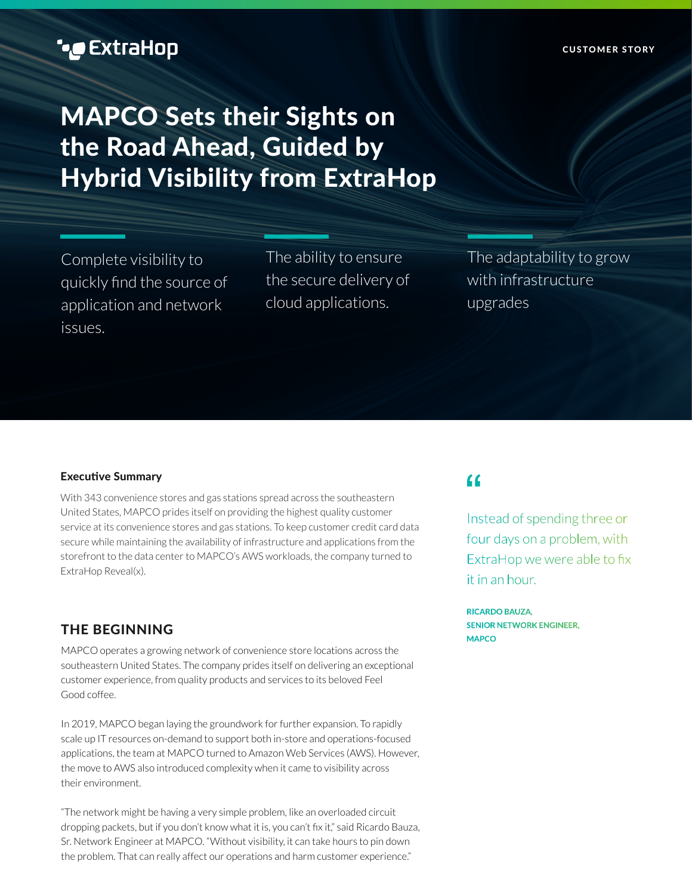# MAPCO Sets their Sights on the Road Ahead, Guided by Hybrid Visibility from ExtraHop

Complete visibility to quickly find the source of application and network issues.

The ability to ensure the secure delivery of cloud applications.

The adaptability to grow with infrastructure upgrades

### Executive Summary

With 343 convenience stores and gas stations spread across the southeastern United States, MAPCO prides itself on providing the highest quality customer service at its convenience stores and gas stations. To keep customer credit card data secure while maintaining the availability of infrastructure and applications from the storefront to the data center to MAPCO's AWS workloads, the company turned to ExtraHop Reveal(x).

## THE BEGINNING

MAPCO operates a growing network of convenience store locations across the southeastern United States. The company prides itself on delivering an exceptional customer experience, from quality products and services to its beloved Feel Good coffee.

In 2019, MAPCO began laying the groundwork for further expansion. To rapidly scale up IT resources on-demand to support both in-store and operations-focused applications, the team at MAPCO turned to Amazon Web Services (AWS). However, the move to AWS also introduced complexity when it came to visibility across their environment.

"The network might be having a very simple problem, like an overloaded circuit dropping packets, but if you don't know what it is, you can't fix it," said Ricardo Bauza, Sr. Network Engineer at MAPCO. "Without visibility, it can take hours to pin down the problem. That can really affect our operations and harm customer experience."

## $\epsilon$

Instead of spending three or four days on a problem, with ExtraHop we were able to fix it in an hour.

**RICARDO BAUZA, SENIOR NETWORK ENGINEER, MAPCO**